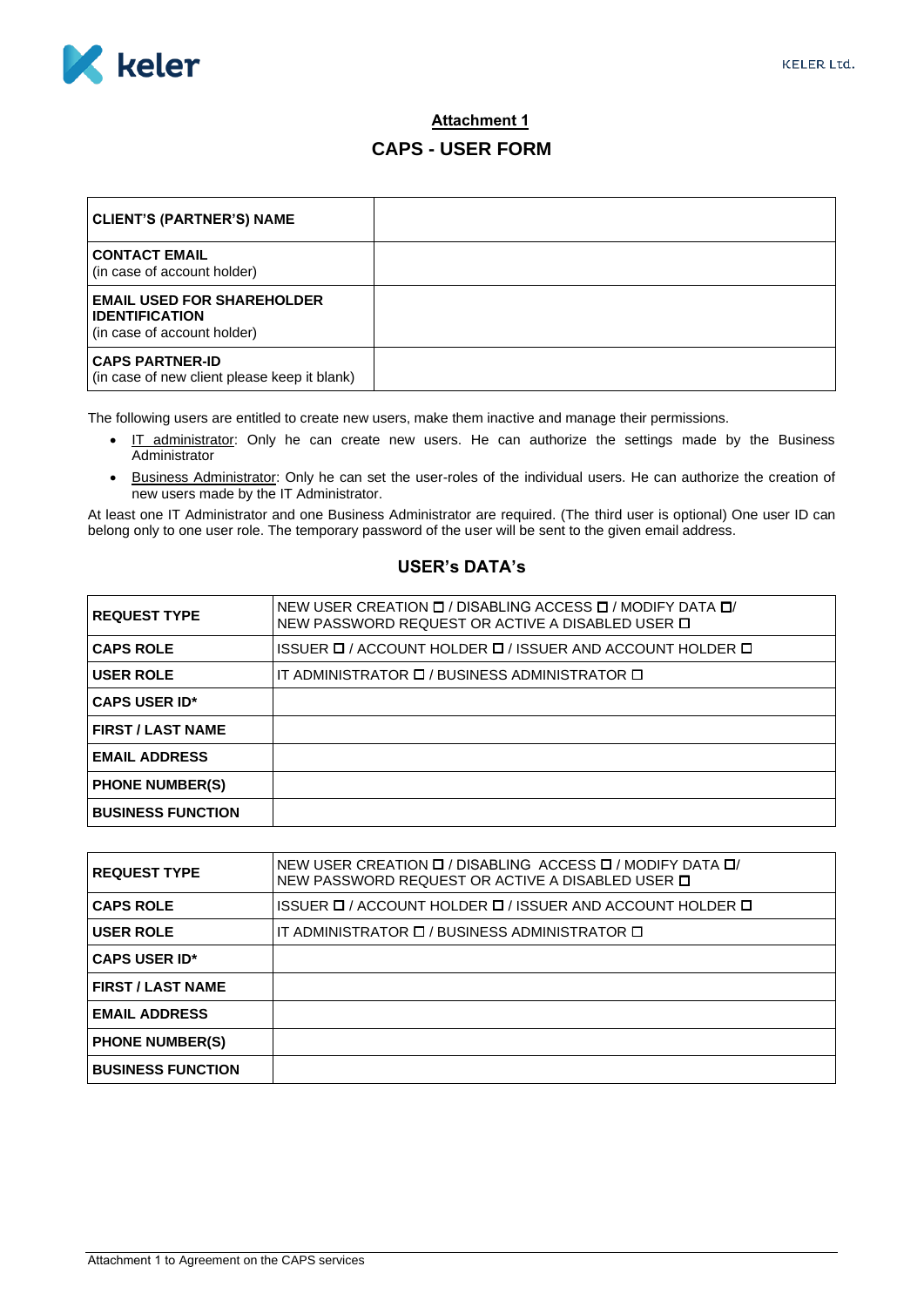

## **Attachment 1 CAPS - USER FORM**

| <b>CLIENT'S (PARTNER'S) NAME</b>                                                          |  |
|-------------------------------------------------------------------------------------------|--|
| <b>CONTACT EMAIL</b><br>(in case of account holder)                                       |  |
| <b>EMAIL USED FOR SHAREHOLDER</b><br><b>IDENTIFICATION</b><br>(in case of account holder) |  |
| <b>CAPS PARTNER-ID</b><br>(in case of new client please keep it blank)                    |  |

The following users are entitled to create new users, make them inactive and manage their permissions.

- IT administrator: Only he can create new users. He can authorize the settings made by the Business Administrator
- Business Administrator: Only he can set the user-roles of the individual users. He can authorize the creation of new users made by the IT Administrator.

At least one IT Administrator and one Business Administrator are required. (The third user is optional) One user ID can belong only to one user role. The temporary password of the user will be sent to the given email address.

## **USER's DATA's**

| <b>REQUEST TYPE</b>      | NEW USER CREATION <b>D</b> / DISABLING ACCESS <b>D</b> / MODIFY DATA <b>D</b> /<br>NEW PASSWORD REQUEST OR ACTIVE A DISABLED USER $\Box$ |
|--------------------------|------------------------------------------------------------------------------------------------------------------------------------------|
| <b>CAPS ROLE</b>         | ISSUER ロ / ACCOUNT HOLDER ロ / ISSUER AND ACCOUNT HOLDER ロ                                                                                |
| <b>USER ROLE</b>         | IT ADMINISTRATOR D / BUSINESS ADMINISTRATOR D                                                                                            |
| <b>CAPS USER ID*</b>     |                                                                                                                                          |
| <b>FIRST / LAST NAME</b> |                                                                                                                                          |
| <b>EMAIL ADDRESS</b>     |                                                                                                                                          |
| <b>PHONE NUMBER(S)</b>   |                                                                                                                                          |
| <b>BUSINESS FUNCTION</b> |                                                                                                                                          |

| <b>REQUEST TYPE</b>      | NEW USER CREATION <b>D</b> / DISABLING ACCESS <b>D</b> / MODIFY DATA <b>D</b> /<br>NEW PASSWORD REQUEST OR ACTIVE A DISABLED USER D |
|--------------------------|-------------------------------------------------------------------------------------------------------------------------------------|
| <b>CAPS ROLE</b>         | ISSUER ロ / ACCOUNT HOLDER ロ / ISSUER AND ACCOUNT HOLDER ロ                                                                           |
| <b>USER ROLE</b>         | IT ADMINISTRATOR <b>D</b> / BUSINESS ADMINISTRATOR <b>D</b>                                                                         |
| <b>CAPS USER ID*</b>     |                                                                                                                                     |
| <b>FIRST / LAST NAME</b> |                                                                                                                                     |
| <b>EMAIL ADDRESS</b>     |                                                                                                                                     |
| <b>PHONE NUMBER(S)</b>   |                                                                                                                                     |
| <b>BUSINESS FUNCTION</b> |                                                                                                                                     |